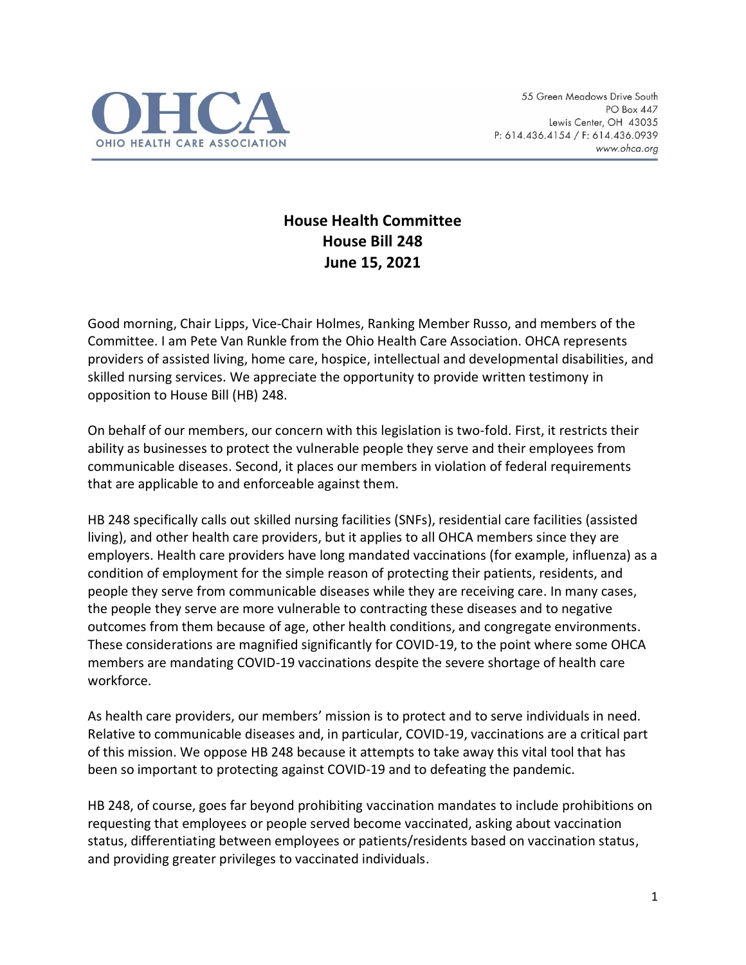

## **House Health Committee House Bill 248 June 15, 2021**

Good morning, Chair Lipps, Vice-Chair Holmes, Ranking Member Russo, and members of the Committee. I am Pete Van Runkle from the Ohio Health Care Association. OHCA represents providers of assisted living, home care, hospice, intellectual and developmental disabilities, and skilled nursing services. We appreciate the opportunity to provide written testimony in opposition to House Bill (HB) 248.

On behalf of our members, our concern with this legislation is two-fold. First, it restricts their ability as businesses to protect the vulnerable people they serve and their employees from communicable diseases. Second, it places our members in violation of federal requirements that are applicable to and enforceable against them.

HB 248 specifically calls out skilled nursing facilities (SNFs), residential care facilities (assisted living), and other health care providers, but it applies to all OHCA members since they are employers. Health care providers have long mandated vaccinations (for example, influenza) as a condition of employment for the simple reason of protecting their patients, residents, and people they serve from communicable diseases while they are receiving care. In many cases, the people they serve are more vulnerable to contracting these diseases and to negative outcomes from them because of age, other health conditions, and congregate environments. These considerations are magnified significantly for COVID-19, to the point where some OHCA members are mandating COVID-19 vaccinations despite the severe shortage of health care workforce.

As health care providers, our members' mission is to protect and to serve individuals in need. Relative to communicable diseases and, in particular, COVID-19, vaccinations are a critical part of this mission. We oppose HB 248 because it attempts to take away this vital tool that has been so important to protecting against COVID-19 and to defeating the pandemic.

HB 248, of course, goes far beyond prohibiting vaccination mandates to include prohibitions on requesting that employees or people served become vaccinated, asking about vaccination status, differentiating between employees or patients/residents based on vaccination status, and providing greater privileges to vaccinated individuals.